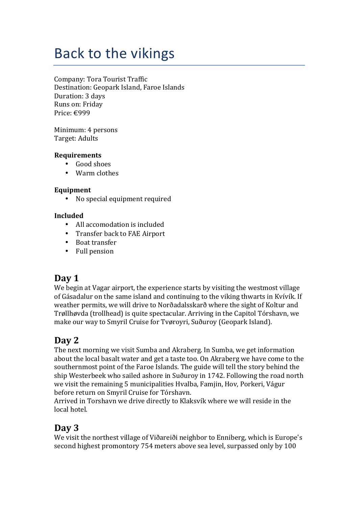# Back to the vikings

Company: Tora Tourist Traffic Destination: Geopark Island, Faroe Islands Duration: 3 days Runs on: Friday Price: €999

Minimum: 4 persons Target: Adults

### **Requirements**

- Good shoes
- Warm clothes

### **Equipment**

• No special equipment required

### **Included**

- All accomodation is included
- Transfer back to FAE Airport
- Boat transfer
- Full pension

### Day 1

We begin at Vagar airport, the experience starts by visiting the westmost village of Gásadalur on the same island and continuing to the viking thwarts in Kyívík. If weather permits, we will drive to Norðadalsskarð where the sight of Koltur and Trøllhøvda (trollhead) is quite spectacular. Arriving in the Capitol Tórshavn, we make our way to Smyril Cruise for Tyøroyri, Suðuroy (Geopark Island).

# **Day 2**

The next morning we visit Sumba and Akraberg. In Sumba, we get information about the local basalt water and get a taste too. On Akraberg we have come to the southernmost point of the Faroe Islands. The guide will tell the story behind the ship Westerbeek who sailed ashore in Suðuroy in 1742. Following the road north we visit the remaining 5 municipalities Hvalba, Famjin, Hov, Porkeri, Vágur before return on Smyril Cruise for Tórshavn.

Arrived in Torshavn we drive directly to Klaksvík where we will reside in the local hotel.

### **Day 3**

We visit the northest village of Viðareiði neighbor to Enniberg, which is Europe's second highest promontory 754 meters above sea level, surpassed only by 100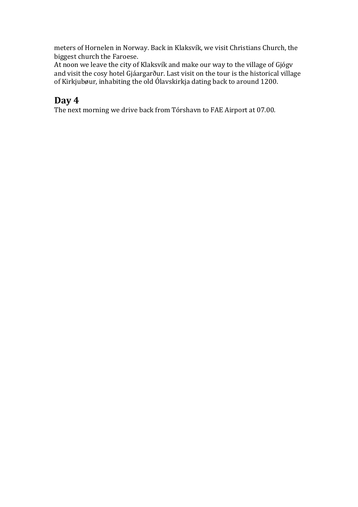meters of Hornelen in Norway. Back in Klaksvík, we visit Christians Church, the biggest church the Faroese.

At noon we leave the city of Klaksvík and make our way to the village of Gjógy and visit the cosy hotel  $\tilde{G}$ jáargarður. Last visit on the tour is the historical village of Kirkjubøur, inhabiting the old Ólavskirkja dating back to around 1200.

# **Day 4**

The next morning we drive back from Tórshavn to FAE Airport at 07.00.